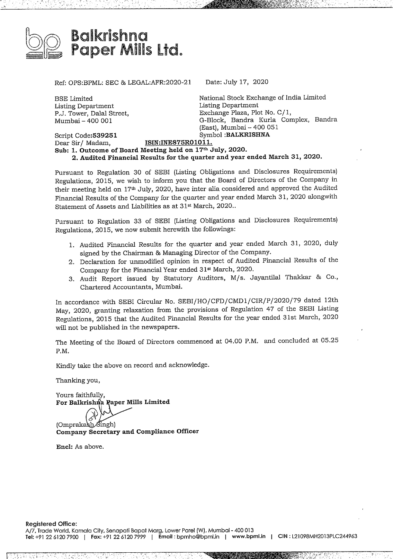

Ref: OPS:BPML: SEC & LEGAL:AFR:2020-21 Date: July 17, <sup>2020</sup>

BSE Limited Listing Department P.J. Tower, Dalal Street, Mumbai- <sup>400</sup> 001

National Stock Exchange of India Limited Listing Department Exchange Plaza, Plot No. C/ 1, G-Block, Bandra Kurla Complex, Bandra (East), Mumbai-400 <sup>051</sup> Script **Code:539251** Symbol **:BALKRISHNA**

Dear Sir/ Madam, **ISIN:INE875R01011.** Sub: 1. Outcome of Board Meeting held on  $17<sup>th</sup>$  July, 2020. **2. Audited Financial Results for the quarter andyear ended March 31, 2020.**

Pursuant to Regulation <sup>30</sup> of SEBI (Listing Obligations and Disclosures Requirements) Regulations, 2015, we wish to inform you that the Board of Directors of the Company in their meeting held on 17th July, 2020, have inter alia considered and approved the Audited Financial Results ofthe Company for the quarter and year ended March 31, 2020 alongwith Statement of Assets and Liabilities as at 31s March, 2020..

Pursuant to Regulation <sup>33</sup> of SEBI (Listing Obligations and Disclosures Requirements) Regulations, 2015, we now submit herewith the followings:

- 1. Audited Financial Results for the quarter and year ended March 31, 2020, duly signed by the Chairman & Managing Director of the Company.
- 2. Declaration for unmodified opinion in respect of Audited Financial Results of the Company for the Financial Year ended 31st March, 2020.
- 3. Audit Report issued by Statutory Auditors, M/s. Jayantilal Thakkar & Co., Chartered Accountants, Mumbai.

In accordance with SEBI Circular No. SEBI/HO/CFD/CMDl/CIR/P/2020/79 dated 12th May, 2020, granting relaxation from the provisions of Regulation 47 of the SEBI Listing Regulations, 2015 that the Audited Financial Results for the year ended 31st March, 2020 will not be published in the newspapers.

The Meeting of the Board of Directors commenced at 04.00 P.M. and concluded at 05.25 P.M.

Kindly take the above on record and acknowledge.

Thanking you,

Yours faithfully, For Balkrishna Paper Mills Limited

الر<br>-(Omprakash Singh) **Company Secretary and Compliance Officer**

**Encl:** As above.

g EE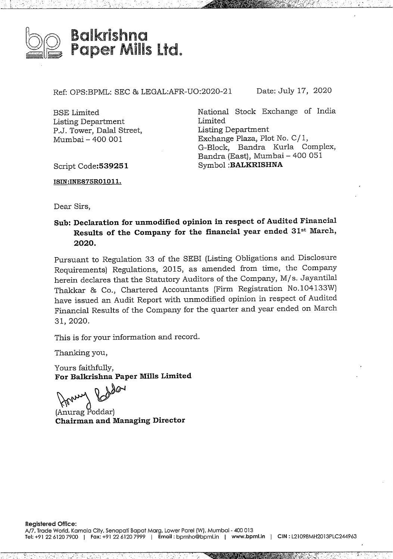

Ref: OPS:BPML: SEC & LEGAL:AFR-UO:2020-21 Date: July 17, 2020

BSE Limited Listing Department P.J. Tower, Dalal Street, Mumbai- 400 001

National Stock Exchange of India Limited Listing Department Exchange Plaza, Plot No. C/ 1, G-Block, Bandra Kurla Complex, Bandra (East), Mumbai- <sup>400</sup> <sup>051</sup> Symbol **:BALKRISHNA**

Script **Code:539251**

**ISIN:INE875R01011.**

Dear Sirs,

**Sub: Declaration for unmodified opinion in respect of Audited Financial Results of the Company for the financial year ended 31st larch, 2020.**

Pursuant to Regulation 33 of the SEBI (Listing Obligations and Disclosure Requirements) Regulations, 2015, as amended from time, the Company herein declares that the Statutory Auditors of the Company, M/s. Jayantilal Thakkar & Co., Chartered Accountants (Firm Registration No.104133W) have issued an Audit Report with unmodified opinion in respect of Audited Financial Results of the Company for the quarter and year ended on March 31, 2020.

This is for your information and record.

Thanking you,

Yours faithfully, **For Balkrishna Paper Mills Limited**

For Balkrishna Paper Mills Limite<br>
(Anurag Poddar)<br>
Chairman and Managing Director (Anurag Poddar)

#EEGARE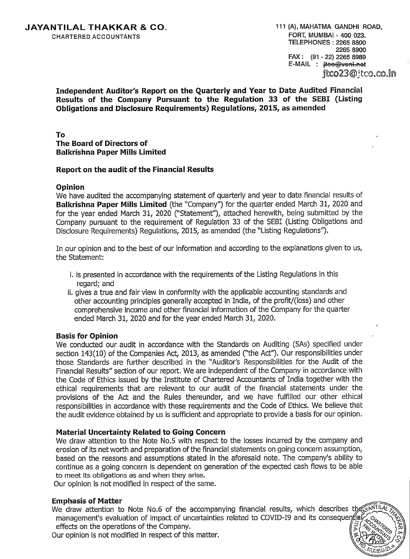**Independent Auditor's Report on the Quarterly and Year to Date Audited Financial Results of the Company Pursuant to the Regulation <sup>33</sup> of the SEBI (Listing Obligations and Disclosure Requirements) Regulations, 2015, as amended**

# **To The Board of Directors of Balkrishna Paper Mills Limited**

## **Report on the audit of the Financial Results**

## **Opinion**

We have audited the accompanying statement of quarterly and year to date financial results of **Balkrishna Paper Mills Limited** (the "Company'') for the quarter ended March 31, 2020 and for the year ended March 31, <sup>2020</sup> (''Statement''), attached herewith, being submitted by the Company pursuant to the requirement of Regulation <sup>33</sup> of the SEBI (Listing Obligations and Disclosure Requirements) Regulations, 2015, as amended (the "Listing Regulations'').

In our opinion and to the best of our information and according to the explanations given to us, the Statement:

- i. is presented in accordance with the requirements of the Listing Regulations in this regard; and
- ii. gives <sup>a</sup> true and fair view in conformity with the applicable accounting standards and other accounting principles generally accepted in India, of the profit/(loss) and other comprehensive income and other financial information of the Company for the quarter ended March 31, 2020 and for the year ended March 31, 2020.

#### **Basis for Opinion**

We conducted our audit in accordance with the Standards on Auditing (SAs) specified under section 143(10) of the Companies Act, 2013, as amended ("the Act"). Our responsibilities under those Standards are further described in the "Auditor's Responsibilities for the Audit of the Financial Results" section of our report. We are independent of the Company in accordance with the Code of Ethics issued by the Institute of Chartered Accountants of India together with the ethical requirements that are relevant to our audit of the financial statements under the provisions of the Act and the Rules thereunder, and we have fulfilled our other ethical responsibilities in accordance with these requirements and the Code of Ethics. We believe that the audit evidence obtained by us is sufficient and appropriate to provide <sup>a</sup> basis for our opinion.

# **Material Uncertainty Related to Going Concern**

We draw attention to the Note No.5 with respect to the losses incurred by the company and erosion of its net worth and preparation of the financial statements on going concern assumption, based on the reasons and assumptions stated in the aforesaid note. The company's ability to continue as <sup>a</sup> going concern is dependent on generation of the expected cash flows to be able to meet its obligations as and when they arise.

Our opinion is not modified in respect of the same.

#### **Emphasis of Matter**

We draw attention to Note No.6 of the accompanying financial results, which describes the management's evaluation of impact of uncertainties related to COVID-I9 and its conseque effects on the operations of the Company.

Our opinion is not modified in respect of this matter.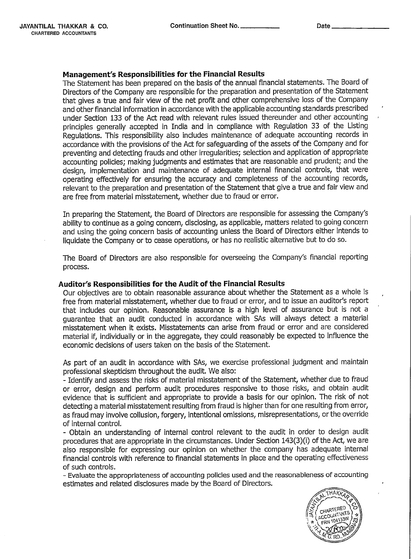# **Management's Responsibilities for the Financial Results**

The Statement has been prepared on the basis of the annual financial statements. The Board of Directors of the Company are responsible for the preparation and presentation of the Statement that gives <sup>a</sup> true and fair view of the net profit and other comprehensive loss of the Company and other financial information in accordance with the applicable accounting standards prescribed under Section 133 of the Act read with relevant rules issued thereunder and other accounting principles generally accepted in India and in compliance with Regulation <sup>33</sup> of the Listing Regulations. This responsibility also includes maintenance of adequate accounting records in accordance with the provisions of the Act for safeguarding of the assets of the Company and for preventing and detecting frauds and other irregularities; selection and application of appropriate accounting policies; making judgments and estimates that are reasonable and prudent; and the design, implementation and maintenance of adequate internal financial controls, that were operating effectively for ensuring the accuracy and completeness of the accounting records, relevant to the preparation and presentation of the Statement that give <sup>a</sup> true and fair view and are free from material misstatement, whether due to fraud or error.

In preparing the Statement, the Board of Directors are responsible for assessing the Company's ability to continue as <sup>a</sup> going concern, disclosing, as applicable, matters related to going concern and using the going concern basis of accounting unless the Board of Directors either intends to liquidate the Company or to cease operations, or has no realistic alternative but to do so.

The Board of Directors are also responsible for overseeing the Company's financial reporting process.

#### **Auditor's Responsibilities for the Audit ofthe Financial Results**

Our objectives are to obtain reasonable assurance about whether the Statement as <sup>a</sup> whole is free from material misstatement, whether due to fraud or error, and to issue an auditor's report that includes our opinion. Reasonable assurance is <sup>a</sup> high level of assurance but is not <sup>a</sup> guarantee that an audit conducted in accordance with SAs will always detect <sup>a</sup> material misstatement when it exists. Misstatements can arise from fraud or error and are considered material if, individually or in the aggregate, they could reasonably be expected to influence the economic decisions of users taken on the basis of the Statement.

As part of an audit in accordance with SAs, we exercise professional judgment and maintain professional skepticism throughout the audit. We also:

- Identify and assess the risks of material misstatement of the Statement, whether due to fraud or error, design and perform audit procedures responsive to those risks, and obtain audit evidence that is sufficient and appropriate to provide <sup>a</sup> basis for our opinion. The risk of not detecting a material misstatement resulting from fraud is higher than for one resulting from error, as fraud may involve collusion, forgery, intentional omissions, misrepresentations, or the override of internal control.

- Obtain an understanding of internal control relevant to the audit in order to design audit procedures that are appropriate in the circumstances. Under Section 143(3)(i) of the Act, we are also responsible for expressing our opinion on whether the company has adequate internal financial controls with reference to financial statements in place and the operating effectiveness of such controls.

- Evaluate the appropriateness of accounting policies used and the reasonableness of accounting estimates and related disclosures made by the Board of Directors.

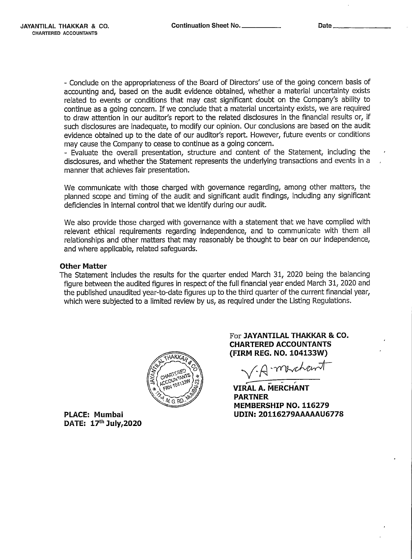- Conclude on the appropriateness of the Board of Directors' use of the going concern basis of accounting and, based on the audit evidence obtained, whether <sup>a</sup> material uncertainty exists related to events or conditions that may cast significant doubt on the Company's ability to continue as <sup>a</sup> going concern. If we conclude that <sup>a</sup> material uncertainty exists, we are required to draw attention in our auditor's report to the related disclosures in the financial results or, if such disclosures are inadequate, to modify our opinion. Our conclusions are based on the audit evidence obtained up to the date of our auditor's report. However, future events or conditions may cause the Company to cease to continue as <sup>a</sup> going concern.

- Evaluate the overall presentation, structure and content of the Statement, including the disclosures, and whether the Statement represents the underlying transactions and events in <sup>a</sup> manner that achieves fair presentation.

We communicate with those charged with governance regarding, among other matters, the planned scope and timing of the audit and significant audit findings, including any significant deficiencies in internal control that we identify during our audit.

We also provide those charged with governance with <sup>a</sup> statement that we have complied with relevant ethical requirements regarding independence, and to communicate with them all relationships and other matters that may reasonably be thought to bear on our independence, and where applicable, related safeguards.

## **Other Matter**

The Statement includes the results for the quarter ended March 31, 2020 being the balancing figure between the audited figures in respect of the full financial year ended March 31, 2020 and the published unaudited year-to-date figures up to the third quarter of the current financial year, which were subjected to <sup>a</sup> limited review by us, as required under the Listing Regulations.



**PLACE: Mumbai DATE: <sup>170</sup> July,2020** For **JAYANTILAL THAKKAR & CO. CHARTERED ACCOUNTANTS {FIRM REG. NO. 104133W)**

*/Q-wka.*

*~ <sup>r</sup>* **VIRAL A. MERCHANT PARTNER MEMBERSHIP NO. <sup>116279</sup> UDIN:20116279AAAA AU6778**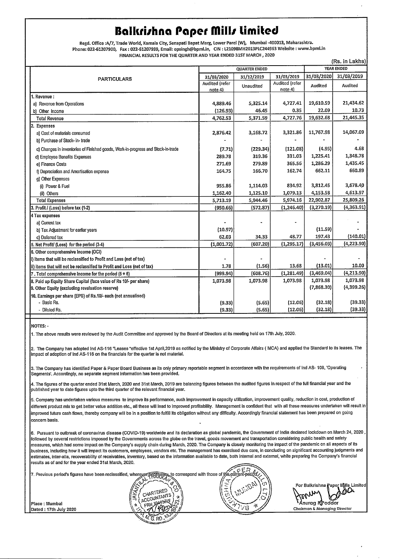# **Balkrirhna Paper fillr Limited**

**Regd. Office :A/7, Trade World,** Kamala **City, Senapati** Ba **pat Marg, Lower Pa rel (W),** Mumbai **-400013,** Maharashtra. Phone: **022-61207900, Fax: 022-61207999,** Email: opsingh@bpml.in, CIN : **L21098MH2013PLC244963 Website : www.bpml.in FINANCIAL RESULTS** FOR THE **QUARTER AND YEAR ENDED 31ST MARCH , 2020**

|  |                                                                                  |                           |            |                           |            | (Rs. in Lakhs) |  |
|--|----------------------------------------------------------------------------------|---------------------------|------------|---------------------------|------------|----------------|--|
|  |                                                                                  | <b>QUARTER ENDED</b>      |            |                           |            | YEAR ENDED     |  |
|  | <b>PARTICULARS</b>                                                               | 31/03/2020                | 31/12/2019 | 31/03/2019                | 31/03/2020 | 31/03/2019     |  |
|  |                                                                                  | Audited (refer<br>note 4) | Unaudited  | Audited (refer<br>note 4) | Audited    | Audited        |  |
|  | 1. Revenue :                                                                     |                           |            |                           |            |                |  |
|  | a) Revenue from Operations                                                       | 4,889.46                  | 5,325.14   | 4,727.41                  | 19,610.59  | 21,434.62      |  |
|  | b) Other Income                                                                  | (126.93)                  | 46.45      | 0.35                      | 22.09      | 10.73          |  |
|  | <b>Total Revenue</b>                                                             | 4,762.53                  | 5,371.59   | 4,727.76                  | 19,632.68  | 21,445.35      |  |
|  | 2. Expenses                                                                      |                           |            |                           |            |                |  |
|  | a) Cost of materials consumed                                                    | 2,876.42                  | 3,168.72   | 3,321.86                  | 11,767.98  | 14,067.09      |  |
|  | b) Purchase of Stock- in- trade                                                  |                           |            |                           |            |                |  |
|  | c) Changes in inventories of Finished goods, Work-in-progress and Stock-in-trade | (7.71)                    | (229.34)   | (121.08)                  | (4.95)     | 4.68           |  |
|  | d) Employee Benefits Expenses                                                    | 289.78                    | 319.36     | 331.03                    | 1,225.41   | 1,348.78       |  |
|  | e) Finance Costs                                                                 | 271.69                    | 279.89     | 365.56                    | 1,286.29   | 1,435.45       |  |
|  | f) Depreciation and Amortisation expense                                         | 164.75                    | 166.70     | 162.74                    | 662.11     | 660.89         |  |
|  | g) Other Expenses                                                                |                           |            |                           |            |                |  |
|  | (i) Power & Fuel                                                                 | 955.86                    | 1,114.03   | 834.92                    | 3,812.45   | 3,678.40       |  |
|  | (ii) Others                                                                      | 1,162.40                  | 1,125.10   | 1,079.13                  | 4,153.58   | 4,613.97       |  |
|  | <b>Total Expenses</b>                                                            | 5,713.19                  | 5,944.46   | 5,974.16                  | 22,902.87  | 25,809.26      |  |
|  | 3. Profit / (Loss) before tax (1-2)                                              | (950.66)                  | (572.87)   | (1, 246.40)               | (3,270.19) | (4,363.91)     |  |
|  | 4 Tax expenses                                                                   |                           |            |                           |            |                |  |
|  | a) Current tax                                                                   |                           |            |                           |            |                |  |
|  | b) Tax Adjustment for earliar years                                              | (10.97)                   |            |                           | (11.59)    |                |  |
|  | c) Deferred tax                                                                  | 62.03                     | 34.33      | 48.77                     | 197.43     | (140.01)       |  |
|  | 5. Net Profit/ (Loss) for the period (3-4)                                       | (1,001.72)                | (607.20)   | (1, 295.17)               | (3,456.03) | (4,223.90)     |  |
|  | 6. Other comprehensive Income (OCI)                                              |                           |            |                           |            |                |  |
|  | i) items that will be reclassified to Profit and Loss (net of tax)               |                           |            |                           |            |                |  |
|  | ii) items that will not be reclassified to Profit and Loss (net of tax)          | 1.78                      | (1.56)     | 13.68                     | (13.01)    | 10.00          |  |
|  | 7. Total comprehensive income for the period $(5 + 6)$                           | (999.94)                  | (608.76)   | (1, 281.49)               | (3,469.04) | (4, 213.90)    |  |
|  | 8. Paid up Equity Share Capital (face value of Rs 10/- per share)                | 1,073.98                  | 1,073.98   | 1,073.98                  | 1,073.98   | 1,073.98       |  |
|  | 9. Other Equity (excluding revaluation reserve)                                  |                           |            |                           | (7,868.30) | (4,399.26)     |  |
|  | 10. Earnings per share (EPS) of Rs.10/- each (not annualised)                    |                           |            |                           |            |                |  |
|  | - Basic Rs.                                                                      | (9.33)                    | (5.65)     | (12.06)                   | (32.18)    | (39.33)        |  |
|  | - Diluted Rs.                                                                    | (9.33)                    | (5.65)     | (12.06)                   | (32.18)    | (39.33)        |  |
|  |                                                                                  |                           |            |                           |            |                |  |

**NOTES: -**

1. The above results were reviewed by the Audit Committee and approved by the Board of Directors at its meeting held on 17th July, 2020.

2. The Company has adopted Ind AS-116 "Leases "effective 1st April,2019 as notified by the Ministry of Corporate Affairs ( MCA) and applied the Standard to its leases. The impact of adoption of Ind AS-116 on the financials forthe quarter is not material.

3. The Company has identified Paper & Paper Board Business as its only primary reportable segment in accordance with the requirements of Ind AS- 108, 'Operating Segments'. Accordingly, no separate segment information has been provided.

4. The figures of the quarter ended 31st March, <sup>2020</sup> and 31st March, <sup>2019</sup> are balancing figures between the audited figures in respect of the full financial year and the published year to date figures upto the third quarter of the relevant financial year.

5. Company has undertaken various measures to improve its performance, such improvement in capacity utilization, improvement quality, reduction in cost, production of different product mix to get bettervalue addition etc., all these will lead to improved profitability. Management is confident that with all these measures undertaken will result in improved future cash flows, thereby company will be in <sup>a</sup> position to fulfill its obligation without any difficulty. Accordingly financial statement has been prepared on going concern basis.

6. Pursuant to outbreak of coronavirus disease (COVID-19) worldwide and its declaration as global pandemic, the Government of India declared lockdown on March 24, <sup>2020</sup> , followed by several restrictions imposed by the Governments across the globe on the travel, goods movement and transportation considering public health and safety measures, which had some impact on the Company's supply chain during March, 2020. The Company's closely monitoring the impact of the pandemic on all aspects of its<br>business, including how it will impact its customers, empl business, including how it will impact its customers, employees, vendors etc. The management has exercised due care, in concluding on significant accounting judgments and results as of and for the year ended 31st March, 2020.

| business, including how it will impact its customers, employees, vendors etc. The management has exercised due care, in concluding on significant accounting judgments and        |                 |    |                                    |
|-----------------------------------------------------------------------------------------------------------------------------------------------------------------------------------|-----------------|----|------------------------------------|
| Jestimates, inter-alia, recoverability of receivables, inventory, based on the information available to date, both internal and external, while preparing the Company's financial |                 |    |                                    |
| results as of and for the year ended 31st March, 2020.                                                                                                                            |                 |    |                                    |
|                                                                                                                                                                                   |                 |    |                                    |
| 7. Previous period's figures have been reclassified, wherever peressary to correspond with those of the current-petider,                                                          |                 |    |                                    |
|                                                                                                                                                                                   |                 |    |                                    |
|                                                                                                                                                                                   |                 | cn | For Balkrishna Paper Mills Limited |
|                                                                                                                                                                                   | CHARTERED       |    | yone                               |
|                                                                                                                                                                                   | · I ACCOUNTANTS |    |                                    |
| Place: Mumbai                                                                                                                                                                     |                 |    | 'Anuraa R¶oddar                    |
| <b>IDated: 17th July 2020</b>                                                                                                                                                     |                 |    | Chairman & Managing Director       |
|                                                                                                                                                                                   |                 |    |                                    |
|                                                                                                                                                                                   |                 |    |                                    |
|                                                                                                                                                                                   |                 |    |                                    |

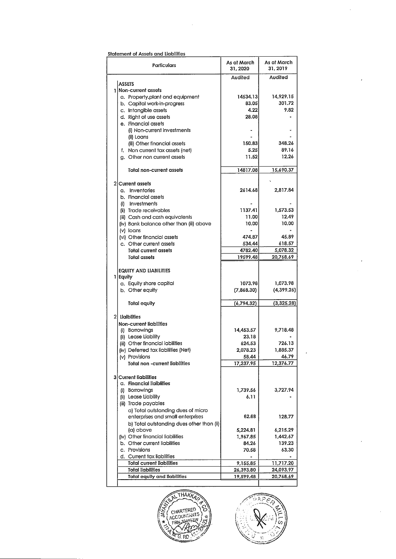#### Statement of Assets and Liabilities

| Particulars                                            | As at March<br>31, 2020 | As at March<br>31, 2019 |
|--------------------------------------------------------|-------------------------|-------------------------|
|                                                        | Audited                 | Audited                 |
| <b>ASSETS</b>                                          |                         |                         |
| 1 Non-current assets                                   |                         |                         |
| a. Property, plant and equipment                       | 14534.13                | 14,929.15               |
| b. Capital work-in-progress                            | 83.05                   | 301.72                  |
| c. Intangible assets                                   | 4.22                    | 9.82                    |
| d. Right of use assets                                 | 28.08                   |                         |
| e. Financial assets                                    |                         |                         |
| (i) Non-current investments                            |                         |                         |
| (ii) Loans                                             |                         |                         |
| (iii) Other financial assets                           | 150.83                  | 348.26                  |
| f. Non current tax assets (net)                        | 5.25                    | 89.16                   |
| g. Other non current assets                            | 11.52                   | 12.26                   |
|                                                        |                         |                         |
| Total non-current assets                               | 14817.08                | 15,690.37               |
| 2 Current assets                                       |                         |                         |
| a. Inventories                                         | 2614.68                 | 2,817.84                |
| b. Financial assets                                    |                         |                         |
| (i) Investments                                        |                         |                         |
|                                                        | 1137.41                 |                         |
| (ii) Trade receivables                                 |                         | 1,573.53<br>12.49       |
| (iii) Cash and cash equivalents                        | 11.00                   |                         |
| (iv) Bank balance other than (iii) above               | 10.00                   | 10.00                   |
| (v) loans                                              |                         | 45.89                   |
| (vi) Other financial assets                            | 474.87<br>534.44        | 618.57                  |
| c. Other current assets<br><b>Total current assets</b> | 4782.40                 |                         |
| <b>Total assets</b>                                    | 19599.48                | 5,078.32<br>20,768.69   |
|                                                        |                         |                         |
| <b>EQUITY AND LIABILITIES</b>                          |                         |                         |
| 1 Equity                                               |                         |                         |
| a. Equity share capital                                | 1073.98                 | 1,073.98                |
| b. Other equity                                        | (7,868.30)              | (4,399.26)              |
|                                                        |                         |                         |
| Total equity                                           | (6,794.32)              | (3,325.28)              |
| 2 Ligiblities                                          |                         |                         |
| Non-current liabilities                                |                         |                         |
| (i) Borrowings                                         | 14,453.57               | 9,718.48                |
| (ii) Lease Liability                                   | 23.18                   |                         |
| (iii) Other financial iabilities                       | 624.53                  | 726.13                  |
| (iv) Deferred tax liabilities (Net)                    | 2,078.23                | 1,885.37                |
| (v) Provisions                                         | 58.44                   | 46.79                   |
| Total non -current liabilities                         | 17,237.95               | 12,376.77               |
|                                                        |                         |                         |
| <b>3 Current liabilities</b>                           |                         |                         |
| a. Financial liaiblities                               |                         |                         |
| (i) Borrowings                                         | 1,739.56                | 3,727.94                |
| (ii) Lease Liability                                   | 6.11                    |                         |
| (iii) Trade payables                                   |                         |                         |
| a) Total outstanding dues of micro                     |                         |                         |
| enterprises and small enterprises                      | 62.68                   | 128.77                  |
| b) Total outstanding dues other than (ii)              |                         |                         |
| (a) above                                              | 5,224.81                | 6,215.29                |
| (iv) Other financial liabilities                       | 1,967.85                | 1,442.67                |
| b. Other current liabilities                           | 84.26                   | 139.23                  |
| c. Provisions                                          | 70.58                   | 63.30                   |
| d. Current tax liabilities                             |                         |                         |
| <b>Total current liabilities</b>                       | 9,155.85                | 11,717.20               |
| <b>Total liabilities</b>                               | 26,393.80               | 24,093.97               |
| <b>Total equity and liabilities</b>                    | 19,599.48               | 20,768.69               |
|                                                        |                         |                         |